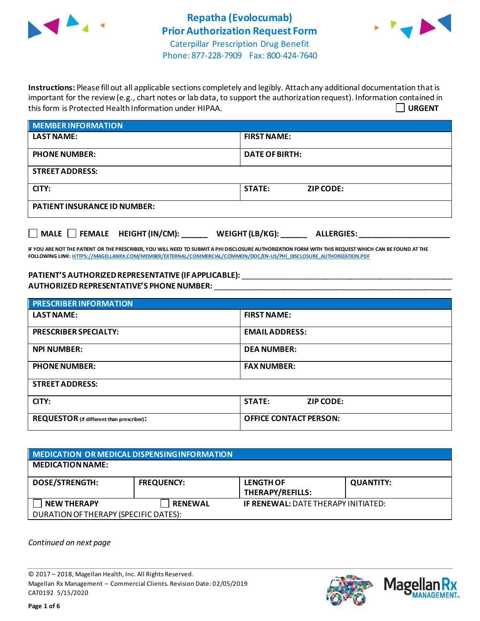



Phone: 877-228-7909 Fax: 800-424-7640

**Instructions:** Please fill out all applicable sections completely and legibly. Attach any additional documentation that is important for the review (e.g., chart notes or lab data, to support the authorization request). Information contained in this form is Protected Health Information under HIPAA. **URGENT**

| <b>MEMBER INFORMATION</b>           |                                   |  |
|-------------------------------------|-----------------------------------|--|
| <b>LAST NAME:</b>                   | <b>FIRST NAME:</b>                |  |
| <b>PHONE NUMBER:</b>                | <b>DATE OF BIRTH:</b>             |  |
| <b>STREET ADDRESS:</b>              |                                   |  |
| CITY:                               | <b>STATE:</b><br><b>ZIP CODE:</b> |  |
| <b>PATIENT INSURANCE ID NUMBER:</b> |                                   |  |
|                                     |                                   |  |

**IF YOU ARE NOT THE PATIENT OR THE PRESCRIBER, YOU WILL NEED TO SUBMIT A PHI DISCLOSURE AUTHORIZATION FORM WITH THIS REQUEST WHICH CAN BE FOUND AT THE FOLLOWING LINK[: HTTPS://MAGELLANRX.COM/MEMBER/EXTERNAL/COMMERCIAL/COMMON/DOC/EN-US/PHI\\_DISCLOSURE\\_AUTHORIZATION.PDF](https://magellanrx.com/member/external/commercial/common/doc/en-us/PHI_Disclosure_Authorization.pdf)**

**MALE FEMALE HEIGHT (IN/CM): \_\_\_\_\_\_ WEIGHT (LB/KG): \_\_\_\_\_\_ ALLERGIES: \_\_\_\_\_\_\_\_\_\_\_\_\_\_\_\_\_\_\_\_\_**

**PATIENT'S AUTHORIZEDREPRESENTATIVE (IF APPLICABLE):** \_\_\_\_\_\_\_\_\_\_\_\_\_\_\_\_\_\_\_\_\_\_\_\_\_\_\_\_\_\_\_\_\_\_\_\_\_\_\_\_\_\_\_\_\_\_\_\_\_ **AUTHORIZED REPRESENTATIVE'S PHONE NUMBER:** \_\_\_\_\_\_\_\_\_\_\_\_\_\_\_\_\_\_\_\_\_\_\_\_\_\_\_\_\_\_\_\_\_\_\_\_\_\_\_\_\_\_\_\_\_\_\_\_\_\_\_\_\_\_\_

| <b>PRESCRIBER INFORMATION</b>             |                                   |  |
|-------------------------------------------|-----------------------------------|--|
| <b>LAST NAME:</b>                         | <b>FIRST NAME:</b>                |  |
| <b>PRESCRIBER SPECIALTY:</b>              | <b>EMAIL ADDRESS:</b>             |  |
| <b>NPI NUMBER:</b>                        | <b>DEA NUMBER:</b>                |  |
| <b>PHONE NUMBER:</b>                      | <b>FAX NUMBER:</b>                |  |
| <b>STREET ADDRESS:</b>                    |                                   |  |
| CITY:                                     | <b>STATE:</b><br><b>ZIP CODE:</b> |  |
| REQUESTOR (if different than prescriber): | <b>OFFICE CONTACT PERSON:</b>     |  |

| MEDICATION OR MEDICAL DISPENSING INFORMATION |                   |                                            |                  |  |
|----------------------------------------------|-------------------|--------------------------------------------|------------------|--|
| <b>MEDICATION NAME:</b>                      |                   |                                            |                  |  |
| <b>DOSE/STRENGTH:</b>                        | <b>FREQUENCY:</b> | <b>LENGTH OF</b><br>THERAPY/REFILLS:       | <b>QUANTITY:</b> |  |
| <b>NEW THERAPY</b>                           | <b>RENEWAL</b>    | <b>IF RENEWAL: DATE THERAPY INITIATED:</b> |                  |  |
| DURATION OF THERAPY (SPECIFIC DATES):        |                   |                                            |                  |  |

*Continued on next page*

© 2017 – 2018, Magellan Health, Inc. All Rights Reserved. Magellan Rx Management – Commercial Clients. Revision Date: 02/05/2019 CAT0192 5/15/2020



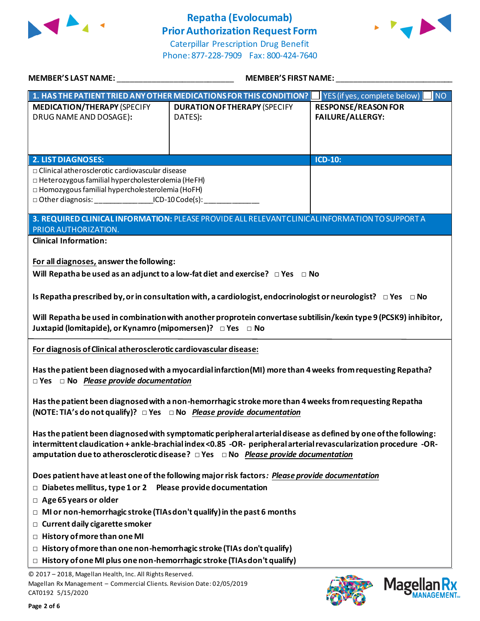

# **Repatha (Evolocumab) Prior Authorization Request Form**



Caterpillar Prescription Drug Benefit Phone: 877-228-7909 Fax: 800-424-7640

| MEMBER'S LAST NAME: NAME AND A SERIES AND A SERIES OF STRING AND A STRING OF STRING AND A STRING OF STRING AND                                                                                                                                   | <b>MEMBER'S FIRST NAME:</b>                                                                                                                                                                                                                                                                                                               |                                                       |  |
|--------------------------------------------------------------------------------------------------------------------------------------------------------------------------------------------------------------------------------------------------|-------------------------------------------------------------------------------------------------------------------------------------------------------------------------------------------------------------------------------------------------------------------------------------------------------------------------------------------|-------------------------------------------------------|--|
|                                                                                                                                                                                                                                                  | 1. HAS THE PATIENT TRIED ANY OTHER MEDICATIONS FOR THIS CONDITION?   YES (if yes, complete below)   NO                                                                                                                                                                                                                                    |                                                       |  |
| <b>MEDICATION/THERAPY (SPECIFY</b><br>DRUG NAME AND DOSAGE):                                                                                                                                                                                     | <b>DURATION OF THERAPY (SPECIFY</b><br>DATES):                                                                                                                                                                                                                                                                                            | <b>RESPONSE/REASON FOR</b><br><b>FAILURE/ALLERGY:</b> |  |
| <b>2. LIST DIAGNOSES:</b>                                                                                                                                                                                                                        |                                                                                                                                                                                                                                                                                                                                           | <b>ICD-10:</b>                                        |  |
| □ Clinical atherosclerotic cardiovascular disease<br>□ Heterozygous familial hypercholesterolemia (HeFH)<br>□ Homozygous familial hypercholesterolemia (HoFH)<br>□ Other diagnosis: ___________________ICD-10 Code(s): _________________________ |                                                                                                                                                                                                                                                                                                                                           |                                                       |  |
| PRIOR AUTHORIZATION.                                                                                                                                                                                                                             | 3. REQUIRED CLINICAL INFORMATION: PLEASE PROVIDE ALL RELEVANT CLINICAL INFORMATION TO SUPPORT A                                                                                                                                                                                                                                           |                                                       |  |
| <b>Clinical Information:</b>                                                                                                                                                                                                                     |                                                                                                                                                                                                                                                                                                                                           |                                                       |  |
| For all diagnoses, answer the following:                                                                                                                                                                                                         | Will Repatha be used as an adjunct to a low-fat diet and exercise? $\Box$ Yes $\Box$ No                                                                                                                                                                                                                                                   |                                                       |  |
|                                                                                                                                                                                                                                                  | Is Repatha prescribed by, or in consultation with, a cardiologist, endocrinologist or neurologist? $\Box$ Yes $\Box$ No                                                                                                                                                                                                                   |                                                       |  |
| Juxtapid (lomitapide), or Kynamro (mipomersen)? DYes DNo                                                                                                                                                                                         | Will Repatha be used in combination with another proprotein convertase subtilisin/kexin type 9 (PCSK9) inhibitor,                                                                                                                                                                                                                         |                                                       |  |
| For diagnosis of Clinical atherosclerotic cardiovascular disease:                                                                                                                                                                                |                                                                                                                                                                                                                                                                                                                                           |                                                       |  |
| $\Box$ Yes $\Box$ No Please provide documentation                                                                                                                                                                                                | Has the patient been diagnosed with a myocardial infarction(MI) more than 4 weeks from requesting Repatha?                                                                                                                                                                                                                                |                                                       |  |
| (NOTE: TIA's do not qualify)? DYes DNo Please provide documentation                                                                                                                                                                              | Has the patient been diagnosed with a non-hemorrhagic stroke more than 4 weeks from requesting Repatha                                                                                                                                                                                                                                    |                                                       |  |
|                                                                                                                                                                                                                                                  | Has the patient been diagnosed with symptomatic peripheral arterial disease as defined by one of the following:<br>intermittent claudication + ankle-brachial index<0.85 -OR- peripheral arterial revascularization procedure -OR-<br>amputation due to atherosclerotic disease? $\Box$ Yes $\Box$ No <i>Please provide documentation</i> |                                                       |  |
|                                                                                                                                                                                                                                                  | Does patient have at least one of the following major risk factors: Please provide documentation                                                                                                                                                                                                                                          |                                                       |  |
| $\Box$ Diabetes mellitus, type 1 or 2 Please provide documentation                                                                                                                                                                               |                                                                                                                                                                                                                                                                                                                                           |                                                       |  |
| $\Box$ Age 65 years or older                                                                                                                                                                                                                     |                                                                                                                                                                                                                                                                                                                                           |                                                       |  |
| $\Box$ MI or non-hemorrhagic stroke (TIAs don't qualify) in the past 6 months                                                                                                                                                                    |                                                                                                                                                                                                                                                                                                                                           |                                                       |  |
| $\Box$ Current daily cigarette smoker                                                                                                                                                                                                            |                                                                                                                                                                                                                                                                                                                                           |                                                       |  |
| $\Box$ History of more than one MI                                                                                                                                                                                                               |                                                                                                                                                                                                                                                                                                                                           |                                                       |  |
| $\Box$ History of more than one non-hemorrhagic stroke (TIAs don't qualify)<br>$\Box$ History of one MI plus one non-hemorrhagic stroke (TIAs don't qualify)                                                                                     |                                                                                                                                                                                                                                                                                                                                           |                                                       |  |
|                                                                                                                                                                                                                                                  |                                                                                                                                                                                                                                                                                                                                           |                                                       |  |
| © 2017 - 2018, Magellan Health, Inc. All Rights Reserved.<br>Magellan Rx Management - Commercial Clients. Revision Date: 02/05/2019<br>CAT0192 5/15/2020                                                                                         |                                                                                                                                                                                                                                                                                                                                           | <b>Mage</b>                                           |  |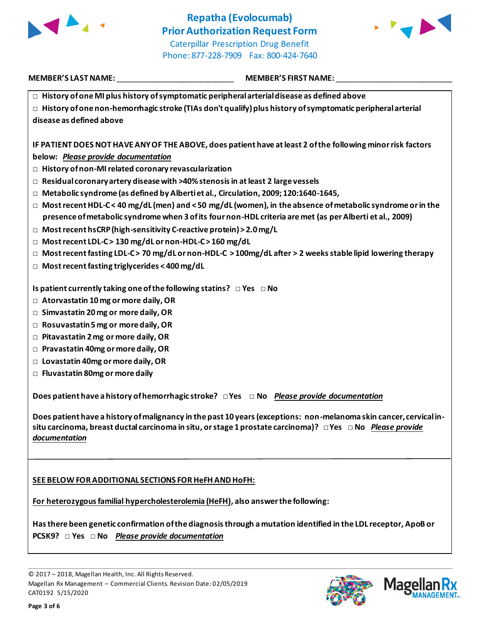



**□ History of one MI plus history of symptomatic peripheral arterial disease as defined above □ History of one non-hemorrhagic stroke (TIAs don't qualify) plus history of symptomatic peripheral arterial** 

**disease as defined above**

**IF PATIENT DOES NOT HAVE ANY OF THE ABOVE, does patient have at least 2 of the following minor risk factors below:** *Please provide documentation*

- **□ History of non-MI related coronary revascularization**
- **□ Residual coronary artery disease with >40% stenosis in at least 2 large vessels**
- **□ Metabolic syndrome (as defined by Alberti et al., Circulation, 2009; 120:1640-1645,**
- **□ Most recent HDL-C < 40 mg/dL (men) and < 50 mg/dL (women), in the absence of metabolic syndrome or in the presence of metabolic syndrome when 3 of its four non-HDL criteria are met (as per Alberti et al., 2009)**
- **□ Most recent hsCRP (high-sensitivity C-reactive protein) > 2.0 mg/L**
- **□ Most recent LDL-C > 130 mg/dL or non-HDL-C > 160 mg/dL**
- **□ Most recent fasting LDL-C > 70 mg/dL or non-HDL-C > 100mg/dL after > 2 weeks stable lipid lowering therapy**
- **□ Most recent fasting triglycerides < 400 mg/dL**

**Is patient currently taking one of the following statins? □ Yes □ No**

- **□ Atorvastatin 10 mg or more daily, OR**
- **□ Simvastatin 20 mg or more daily, OR**
- **□ Rosuvastatin 5 mg or more daily, OR**
- **□ Pitavastatin 2 mg or more daily, OR**
- **□ Pravastatin 40mg or more daily, OR**
- **□ Lovastatin 40mg or more daily, OR**
- **□ Fluvastatin 80mg or more daily**

**Does patient have a history of hemorrhagic stroke? □ Yes □ No** *Please provide documentation*

**Does patient have a history of malignancy in the past 10 years (exceptions: non-melanoma skin cancer, cervical insitu carcinoma, breast ductal carcinoma in situ, or stage 1 prostate carcinoma)? □ Yes □ No** *Please provide documentation*

**SEE BELOW FOR ADDITIONAL SECTIONS FOR HeFH AND HoFH:**

**For heterozygous familial hypercholesterolemia (HeFH), also answer the following:**

**Has there been genetic confirmation of the diagnosis through a mutation identified in the LDL receptor, ApoB or PCSK9? □ Yes □ No** *Please provide documentation*



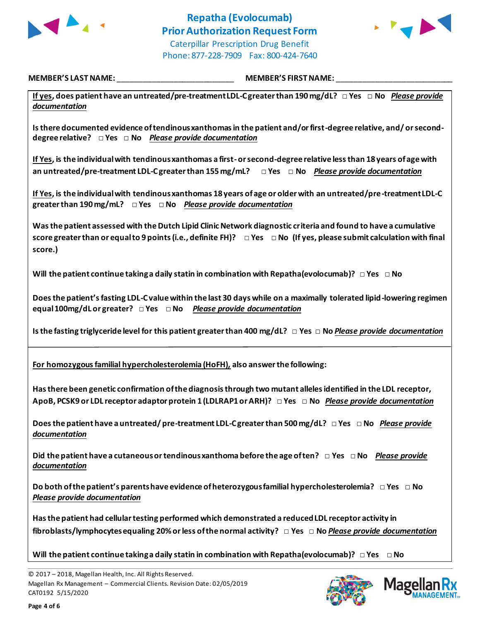



**If yes, does patient have an untreated/pre-treatment LDL-C greater than 190 mg/dL? □ Yes □ No** *Please provide documentation*

**Is there documented evidence of tendinous xanthomas in the patient and/or first-degree relative, and/ or seconddegree relative? □ Yes □ No** *Please provide documentation*

**If Yes, is the individual with tendinous xanthomas a first-or second-degree relative less than 18 years of age with an untreated/pre-treatment LDL-C greater than 155 mg/mL? □ Yes □ No** *Please provide documentation*

**If Yes, is the individual with tendinous xanthomas 18 years of age or older with an untreated/pre-treatment LDL-C greater than 190 mg/mL? □ Yes □ No** *Please provide documentation*

**Was the patient assessed with the Dutch Lipid Clinic Network diagnostic criteria and found to have a cumulative score greater than or equal to 9 points (i.e., definite FH)? □ Yes □ No (If yes, please submit calculation with final score.)**

**Will the patient continue taking a daily statin in combination with Repatha(evolocumab)? □ Yes □ No**

**Does the patient's fasting LDL-C value within the last 30 days while on a maximally tolerated lipid-lowering regimen equal 100mg/dL or greater? □ Yes □ No** *Please provide documentation*

**Is the fasting triglyceride level for this patient greater than 400 mg/dL? □ Yes □ No** *Please provide documentation*

**For homozygous familial hypercholesterolemia (HoFH), also answer the following:**

**Has there been genetic confirmation of the diagnosis through two mutant alleles identified in the LDL receptor, ApoB, PCSK9 or LDL receptor adaptor protein 1 (LDLRAP1 or ARH)? □ Yes □ No** *Please provide documentation*

**Does the patient have a untreated/ pre-treatment LDL-C greater than 500 mg/dL? □ Yes □ No** *Please provide documentation*

**Did the patient have a cutaneous or tendinous xanthoma before the age of ten? □ Yes □ No** *Please provide documentation*

**Do both of the patient's parents have evidence of heterozygous familial hypercholesterolemia? □ Yes □ No** *Please provide documentation*

**Has the patient had cellular testing performed which demonstrated a reduced LDL receptor activity in fibroblasts/lymphocytes equaling 20% or less of the normal activity? □ Yes □ No** *Please provide documentation*

**Will the patient continue taking a daily statin in combination with Repatha(evolocumab)? □ Yes □ No**



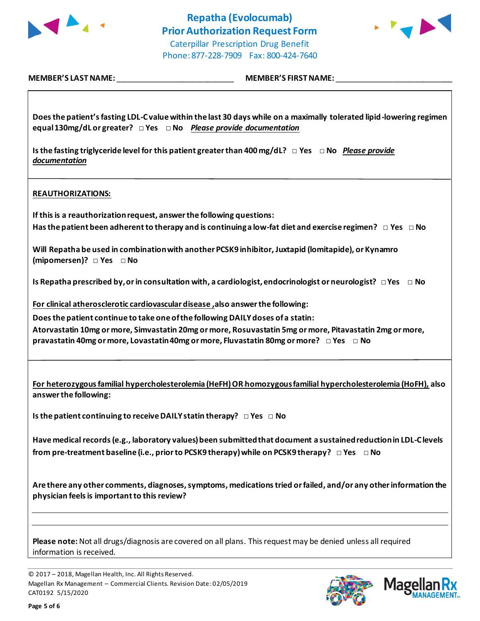



| Does the patient's fasting LDL-C value within the last 30 days while on a maximally tolerated lipid-lowering regimen<br>equal 130mg/dL or greater? $\Box$ Yes $\Box$ No Please provide documentation                        |
|-----------------------------------------------------------------------------------------------------------------------------------------------------------------------------------------------------------------------------|
| Is the fasting triglyceride level for this patient greater than 400 mg/dL? $\Box$ Yes $\Box$ No Please provide<br>documentation                                                                                             |
| <b>REAUTHORIZATIONS:</b>                                                                                                                                                                                                    |
| If this is a reauthorization request, answer the following questions:                                                                                                                                                       |
| Has the patient been adherent to therapy and is continuing a low-fat diet and exercise regimen? $\Box$ Yes $\Box$ No                                                                                                        |
| Will Repatha be used in combination with another PCSK9 inhibitor, Juxtapid (lomitapide), or Kynamro<br>(mipomersen)? $\Box$ Yes $\Box$ No                                                                                   |
| Is Repatha prescribed by, or in consultation with, a cardiologist, endocrinologist or neurologist? $\Box$ Yes $\Box$ No                                                                                                     |
| For clinical atherosclerotic cardiovascular disease, also answer the following:                                                                                                                                             |
| Does the patient continue to take one of the following DAILY doses of a statin:                                                                                                                                             |
| Atorvastatin 10mg or more, Simvastatin 20mg or more, Rosuvastatin 5mg or more, Pitavastatin 2mg or more,<br>pravastatin 40mg or more, Lovastatin 40mg or more, Fluvastatin 80mg or more? □ Yes □ No                         |
| For heterozygous familial hypercholesterolemia (HeFH) OR homozygous familial hypercholesterolemia (HoFH), also<br>answer the following:                                                                                     |
| Is the patient continuing to receive DAILY statin therapy? $\Box$ Yes $\Box$ No                                                                                                                                             |
| Have medical records (e.g., laboratory values) been submitted that document a sustained reduction in LDL-Clevels<br>from pre-treatment baseline (i.e., prior to PCSK9 therapy) while on PCSK9 therapy? $\Box$ Yes $\Box$ No |
| Are there any other comments, diagnoses, symptoms, medications tried or failed, and/or any other information the<br>physician feels is important to this review?                                                            |
|                                                                                                                                                                                                                             |
| Please note: Not all drugs/diagnosis are covered on all plans. This request may be denied unless all required<br>information is received.                                                                                   |

© 2017 – 2018, Magellan Health, Inc. All Rights Reserved. Magellan Rx Management – Commercial Clients. Revision Date: 02/05/2019 CAT0192 5/15/2020